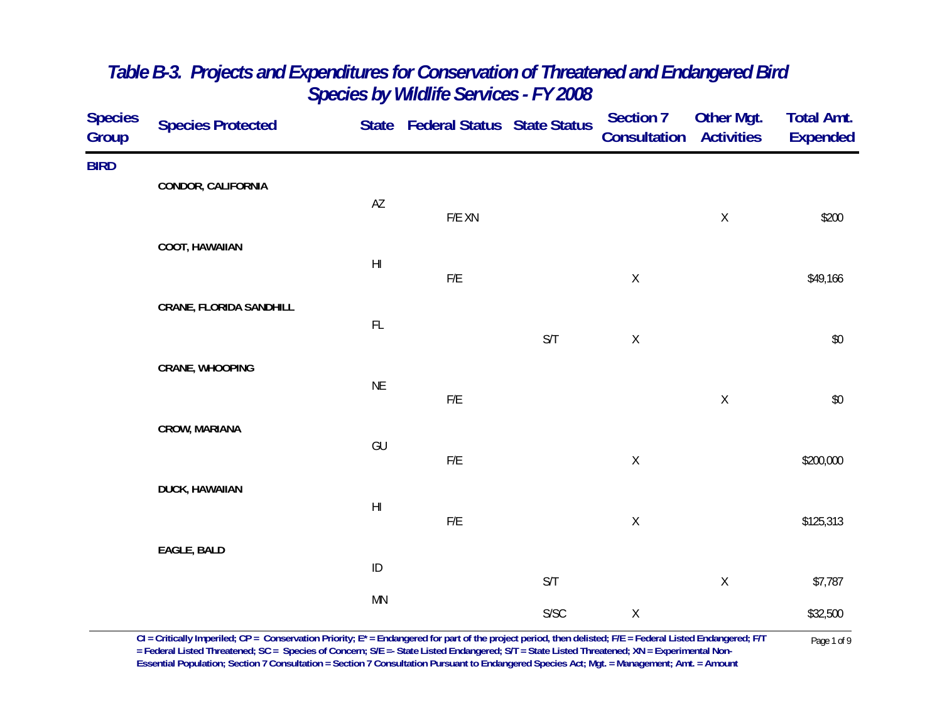| <b>Species</b><br>Group | <b>Species Protected</b>       |                        | State Federal Status State Status |              | <b>Section 7</b><br><b>Consultation Activities</b> | <b>Other Mgt.</b> | <b>Total Amt.</b><br><b>Expended</b> |
|-------------------------|--------------------------------|------------------------|-----------------------------------|--------------|----------------------------------------------------|-------------------|--------------------------------------|
| <b>BIRD</b>             | CONDOR, CALIFORNIA             |                        |                                   |              |                                                    |                   |                                      |
|                         |                                | AZ                     | F/E XN                            |              |                                                    | $\mathsf X$       | \$200                                |
|                         | COOT, HAWAIIAN                 |                        |                                   |              |                                                    |                   |                                      |
|                         |                                | $\mathsf{H}\mathsf{I}$ | F/E                               |              | $\mathsf X$                                        |                   | \$49,166                             |
|                         | <b>CRANE, FLORIDA SANDHILL</b> | FL                     |                                   |              |                                                    |                   |                                      |
|                         |                                |                        |                                   | S/T          | $\mathsf X$                                        |                   | $\$0$                                |
|                         | CRANE, WHOOPING                | <b>NE</b>              | ${\sf F/E}$                       |              |                                                    | $\mathsf X$       | $\$0$                                |
|                         | CROW, MARIANA                  |                        |                                   |              |                                                    |                   |                                      |
|                         |                                | GU                     | ${\sf F/E}$                       |              | $\mathsf X$                                        |                   | \$200,000                            |
|                         | <b>DUCK, HAWAIIAN</b>          | $\mathsf{H}\mathsf{I}$ |                                   |              |                                                    |                   |                                      |
|                         |                                |                        | F/E                               |              | $\mathsf X$                                        |                   | \$125,313                            |
|                         | EAGLE, BALD                    | $\sf ID$               |                                   |              |                                                    |                   |                                      |
|                         |                                | MN                     |                                   | S/T          |                                                    | $\mathsf X$       | \$7,787                              |
|                         |                                |                        |                                   | ${\sf S/SC}$ | $\mathsf X$                                        |                   | \$32,500                             |

 $CI = Critically$  Imperiled;  $CP = \text{Conservation Priority}; E^* = \text{Endangered for part of the project period, then deleted; F/E = Federal listed Endanged; F/T = \text{Pederal Listed Thread, F/T} = \text{Pageral Instead; FCE = \text{Spherical, FCE} = \text{Pageral Listed Thread, FCE = \text{Spherical, FCE} = \text{Pageral Listed Thread, FCE = \text{Spherical, FCE}} = \text{Pageral Listed Thread, FCE = \text{Spherical, FCE} = \text{Pageral Listed Thread, FCE = \text{Spherical, FCE} = \text{Pageral Listed Thread, FCE = \text{Smodel}} = \text{Pageral Listed Thread, FCE = \text{$ **Essential Population; Section 7 Consultation = Section 7 Consultation Pursuant to Endangered Species Act; Mgt. = Management; Amt. = Amount**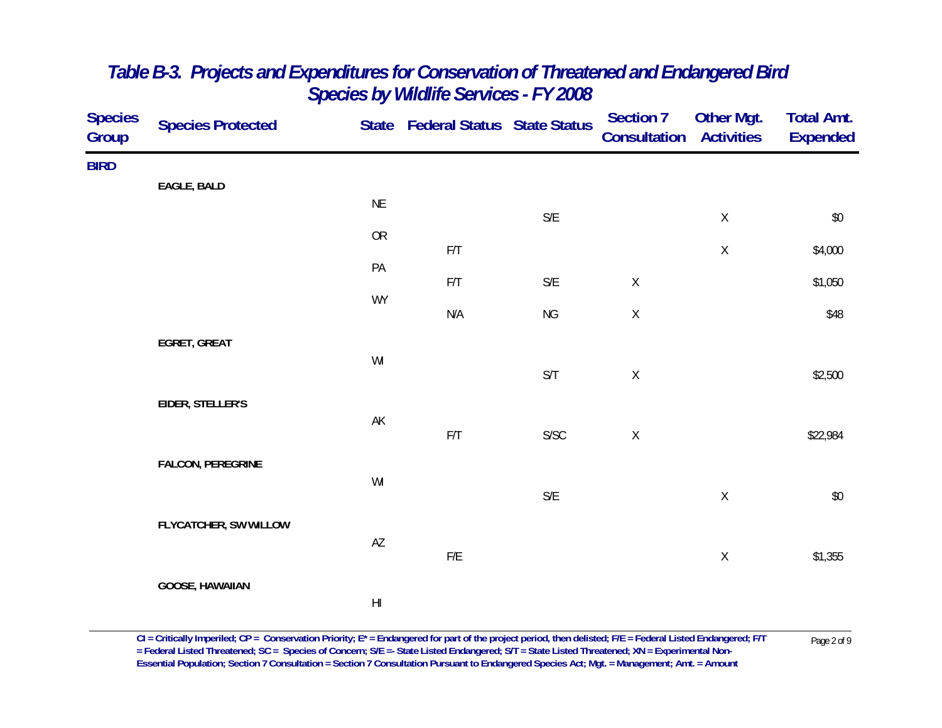| <b>Species</b><br>Group | <b>Species Protected</b> |                        | State Federal Status State Status |                         | <b>Section 7</b><br>Consultation | Other Mgt.<br><b>Activities</b> | <b>Total Amt.</b><br><b>Expended</b> |
|-------------------------|--------------------------|------------------------|-----------------------------------|-------------------------|----------------------------------|---------------------------------|--------------------------------------|
| <b>BIRD</b>             |                          |                        |                                   |                         |                                  |                                 |                                      |
|                         | EAGLE, BALD              | $\sf NE$               |                                   | $\mathsf{S}/\mathsf{E}$ |                                  | $\mathsf X$                     | $\$0$                                |
|                         |                          | OR                     | $\mathsf{F}/\mathsf{T}$           |                         |                                  | Χ                               | \$4,000                              |
|                         |                          | PA                     | F/T                               | $\mathsf{S}/\mathsf{E}$ | $\mathsf X$                      |                                 | \$1,050                              |
|                         |                          | <b>WY</b>              | $\mathsf{N}/\mathsf{A}$           | NG                      | $\mathsf X$                      |                                 | \$48                                 |
|                         | EGRET, GREAT             |                        |                                   |                         |                                  |                                 |                                      |
|                         |                          | $\mathsf{W}\mathsf{I}$ |                                   | S/T                     | $\mathsf X$                      |                                 | \$2,500                              |
|                         | EIDER, STELLER'S         | AK                     |                                   |                         |                                  |                                 |                                      |
|                         |                          |                        | $\mathsf{F}/\mathsf{T}$           | S/SC                    | $\mathsf X$                      |                                 | \$22,984                             |
|                         | <b>FALCON, PEREGRINE</b> | WI                     |                                   |                         |                                  |                                 |                                      |
|                         | FLYCATCHER, SW WILLOW    |                        |                                   | $\mathsf{S}/\mathsf{E}$ |                                  | $\mathsf X$                     | $\$0$                                |
|                         |                          | $\mathsf{A}\mathsf{Z}$ | ${\sf F/E}$                       |                         |                                  | $\mathsf X$                     | \$1,355                              |
|                         | GOOSE, HAWAIIAN          |                        |                                   |                         |                                  |                                 |                                      |
|                         |                          | $\mathsf{H}\mathsf{I}$ |                                   |                         |                                  |                                 |                                      |

 $CI = Critically$  Imperiled;  $CP = \text{Conservation Priority}; E^* = \text{Endangered for part of the project period, then deleted; F/E = Federal listed Endanged; F/T = \text{Pederal Listed Thread, F/T} = \text{Pageral Instead; FCE = \text{Spherical, FCE} = \text{Pageral Listed Thread, FCE = \text{Spherical, FCE} = \text{Pageral Listed Thread, FCE = \text{Spherical, FCE}} = \text{Pageral Listed Thread, FCE = \text{Spherical, FCE} = \text{Pageral Listed Thread, FCE = \text{Spherical, FCE} = \text{Pageral Listed Thread, FCE = \text{Spherical, FCE}} = \text{Pageral Listed Thread, FCE =$ **Essential Population; Section 7 Consultation = Section 7 Consultation Pursuant to Endangered Species Act; Mgt. = Management; Amt. = Amount**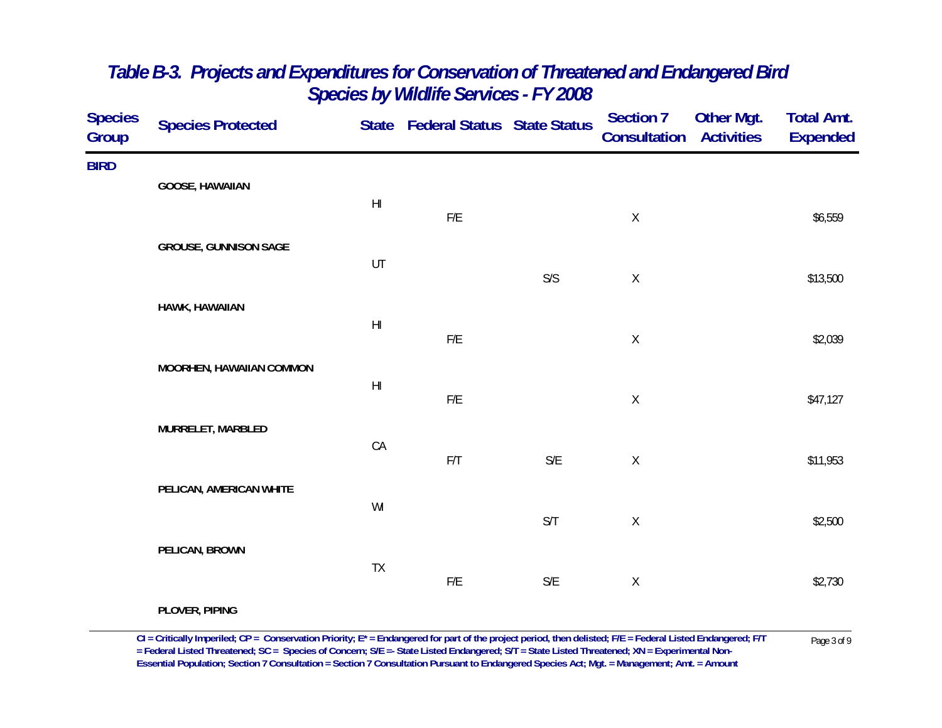| <b>Species</b><br>Group | <b>Species Protected</b>     |                        | State Federal Status State Status |                         | <b>Section 7</b><br>Consultation | Other Mgt.<br><b>Activities</b> | <b>Total Amt.</b><br><b>Expended</b> |
|-------------------------|------------------------------|------------------------|-----------------------------------|-------------------------|----------------------------------|---------------------------------|--------------------------------------|
| <b>BIRD</b>             | <b>GOOSE, HAWAIIAN</b>       | H <sub>l</sub>         |                                   |                         |                                  |                                 |                                      |
|                         | <b>GROUSE, GUNNISON SAGE</b> |                        | $\mathsf{F}/\mathsf{E}$           |                         | $\mathsf X$                      |                                 | \$6,559                              |
|                         | HAWK, HAWAIIAN               | UT                     |                                   | $S/S$                   | $\mathsf X$                      |                                 | \$13,500                             |
|                         |                              | H                      | $\mathsf{F}/\mathsf{E}$           |                         | $\mathsf X$                      |                                 | \$2,039                              |
|                         | MOORHEN, HAWAIIAN COMMON     | $\mathsf{H}\mathsf{I}$ | $\mathsf{F}/\mathsf{E}$           |                         | $\mathsf X$                      |                                 | \$47,127                             |
|                         | MURRELET, MARBLED            | CA                     | $\mathsf{F}/\mathsf{T}$           | $\mathsf{S}/\mathsf{E}$ | $\mathsf X$                      |                                 | \$11,953                             |
|                         | PELICAN, AMERICAN WHITE      | WI                     |                                   |                         |                                  |                                 |                                      |
|                         | PELICAN, BROWN               |                        |                                   | $\mathsf{S}/\mathsf{T}$ | $\mathsf X$                      |                                 | \$2,500                              |
|                         | PLOVER, PIPING               | TX                     | $\mathsf{F}/\mathsf{E}$           | $\mathsf{S}/\mathsf{E}$ | $\mathsf X$                      |                                 | \$2,730                              |

 $CI = Critically$  Imperiled;  $CP = \text{Conservation Priority}; E^* = \text{Endangered for part of the project period, then deleted; F/E = Federal listed Endanged; F/T  
= Federal listed Thread, SC = Species of \text{Concern}; S/E = State listed Endanged; S/T = State Listed Thread and P/T = Experimental Non-$ **Essential Population; Section 7 Consultation = Section 7 Consultation Pursuant to Endangered Species Act; Mgt. = Management; Amt. = Amount**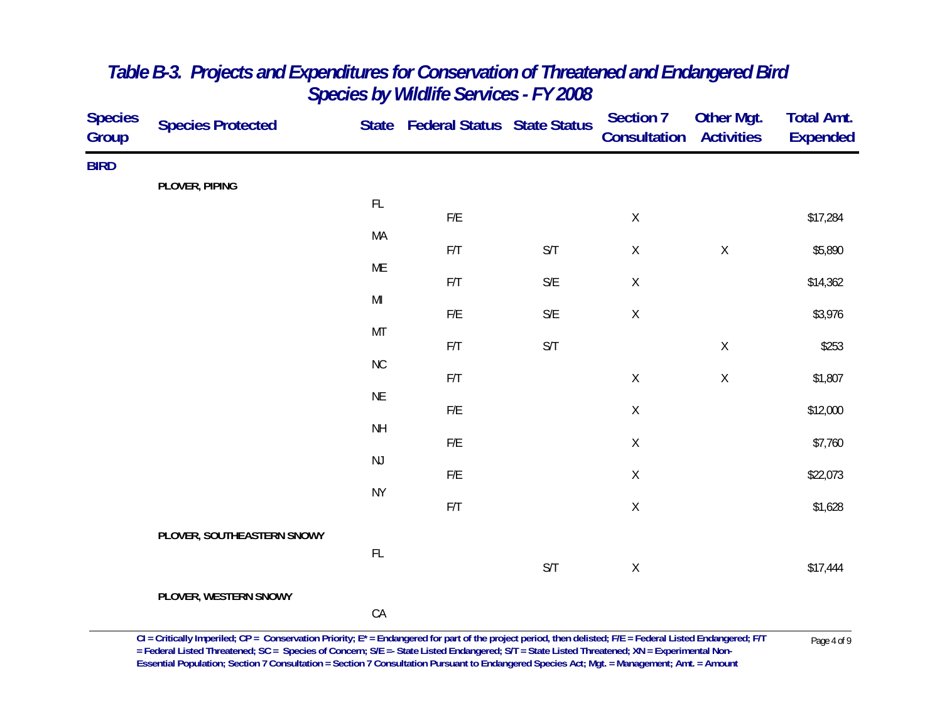| <b>Species</b><br>Group | <b>Species Protected</b>   |                 | State Federal Status State Status |                         | Section 7<br><b>Consultation</b> | Other Mgt.<br><b>Activities</b> | <b>Total Amt.</b><br><b>Expended</b> |
|-------------------------|----------------------------|-----------------|-----------------------------------|-------------------------|----------------------------------|---------------------------------|--------------------------------------|
| <b>BIRD</b>             |                            |                 |                                   |                         |                                  |                                 |                                      |
|                         | PLOVER, PIPING             |                 |                                   |                         |                                  |                                 |                                      |
|                         |                            | $\mathsf{FL}$   | $\mathsf{F}/\mathsf{E}$           |                         | $\mathsf X$                      |                                 | \$17,284                             |
|                         |                            | MA              |                                   | $\mathsf{S}/\mathsf{T}$ | $\mathsf X$                      | $\mathsf X$                     | \$5,890                              |
|                         |                            | ME              | $\mathsf{F}/\mathsf{T}$           |                         |                                  |                                 |                                      |
|                         |                            |                 | F/T                               | $\mathsf{S}/\mathsf{E}$ | $\mathsf X$                      |                                 | \$14,362                             |
|                         |                            | $\mathsf{MI}$   | $\mathsf{F}/\mathsf{E}$           | $\mathsf{S}/\mathsf{E}$ | $\mathsf X$                      |                                 | \$3,976                              |
|                         |                            | MT              |                                   | S/T                     |                                  |                                 |                                      |
|                         |                            | ${\sf NC}$      | $\mathsf{F}/\mathsf{T}$           |                         |                                  | $\mathsf X$                     | \$253                                |
|                         |                            |                 | F/T                               |                         | $\mathsf X$                      | $\mathsf X$                     | \$1,807                              |
|                         |                            | $\sf NE$        | ${\sf F/E}$                       |                         | $\mathsf X$                      |                                 | \$12,000                             |
|                         |                            | $\mathsf{NH}\,$ |                                   |                         |                                  |                                 |                                      |
|                         |                            | $\mathsf{NJ}$   | ${\sf F/E}$                       |                         | $\mathsf X$                      |                                 | \$7,760                              |
|                         |                            |                 | ${\sf F/E}$                       |                         | $\mathsf X$                      |                                 | \$22,073                             |
|                         |                            | <b>NY</b>       | F/T                               |                         | $\mathsf X$                      |                                 | \$1,628                              |
|                         | PLOVER, SOUTHEASTERN SNOWY |                 |                                   |                         |                                  |                                 |                                      |
|                         |                            | FL              |                                   |                         |                                  |                                 |                                      |
|                         |                            |                 |                                   | $\mathsf{S}/\mathsf{T}$ | $\mathsf X$                      |                                 | \$17,444                             |
|                         | PLOVER, WESTERN SNOWY      |                 |                                   |                         |                                  |                                 |                                      |
|                         |                            | ${\sf CA}$      |                                   |                         |                                  |                                 |                                      |

 $CI = Critically$  Imperiled;  $CP = \text{Conservation Priority}; E^* = \text{Endangered for part of the project period, then deleted; F/E = Federal listed Endanged; F/T  
= Federal listed Thread, SC = Species of \text{Concern}; S/E = State listed Endanged; S/T = State Listed Thread and P/T = Experimental Non-$ **Essential Population; Section 7 Consultation = Section 7 Consultation Pursuant to Endangered Species Act; Mgt. = Management; Amt. = Amount**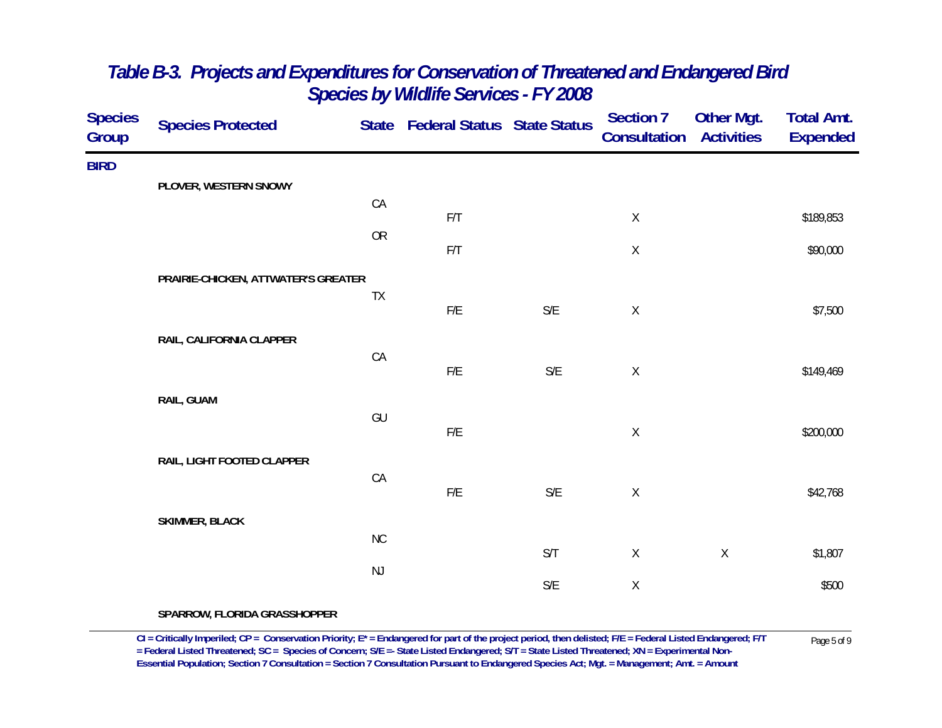| <b>Species</b><br><b>Group</b> | <b>Species Protected</b>            |               | State Federal Status State Status |                         | <b>Section 7</b><br>Consultation | <b>Other Mgt.</b><br><b>Activities</b> | <b>Total Amt.</b><br><b>Expended</b> |
|--------------------------------|-------------------------------------|---------------|-----------------------------------|-------------------------|----------------------------------|----------------------------------------|--------------------------------------|
| <b>BIRD</b>                    |                                     |               |                                   |                         |                                  |                                        |                                      |
|                                | PLOVER, WESTERN SNOWY               |               |                                   |                         |                                  |                                        |                                      |
|                                |                                     | CA            | F/T                               |                         | $\mathsf X$                      |                                        | \$189,853                            |
|                                |                                     | OR            |                                   |                         |                                  |                                        |                                      |
|                                |                                     |               | F/T                               |                         | $\mathsf X$                      |                                        | \$90,000                             |
|                                | PRAIRIE-CHICKEN, ATTWATER'S GREATER |               |                                   |                         |                                  |                                        |                                      |
|                                |                                     | TX            | F/E                               | S/E                     | $\mathsf X$                      |                                        | \$7,500                              |
|                                |                                     |               |                                   |                         |                                  |                                        |                                      |
|                                | RAIL, CALIFORNIA CLAPPER            | CA            |                                   |                         |                                  |                                        |                                      |
|                                |                                     |               | $\mathsf{F}/\mathsf{E}$           | $\mathsf{S}/\mathsf{E}$ | $\mathsf X$                      |                                        | \$149,469                            |
|                                | RAIL, GUAM                          |               |                                   |                         |                                  |                                        |                                      |
|                                |                                     | GU            |                                   |                         |                                  |                                        |                                      |
|                                |                                     |               | $\mathsf{F}/\mathsf{E}$           |                         | $\mathsf X$                      |                                        | \$200,000                            |
|                                | RAIL, LIGHT FOOTED CLAPPER          |               |                                   |                         |                                  |                                        |                                      |
|                                |                                     | CA            |                                   |                         |                                  |                                        |                                      |
|                                |                                     |               | ${\sf F/E}$                       | $\mathsf{S}/\mathsf{E}$ | $\mathsf X$                      |                                        | \$42,768                             |
|                                | <b>SKIMMER, BLACK</b>               |               |                                   |                         |                                  |                                        |                                      |
|                                |                                     | NC            |                                   | S/T                     | $\mathsf{X}$                     | $\mathsf X$                            | \$1,807                              |
|                                |                                     | $\mathsf{NJ}$ |                                   |                         |                                  |                                        |                                      |
|                                |                                     |               |                                   | S/E                     | $\mathsf X$                      |                                        | \$500                                |
|                                |                                     |               |                                   |                         |                                  |                                        |                                      |

**SPARROW, FLORIDA GRASSHOPPER**

 $CI$  = Critically Imperiled;  $CP$  = Conservation Priority;  $E^*$  = Endangered for part of the project period, then delisted;  $F/E$  = Federal Listed Endangered;  $F/T$  Page 5 of 9<br>= Federal Listed Threatened; SC = Species of Co **Essential Population; Section 7 Consultation = Section 7 Consultation Pursuant to Endangered Species Act; Mgt. = Management; Amt. = Amount**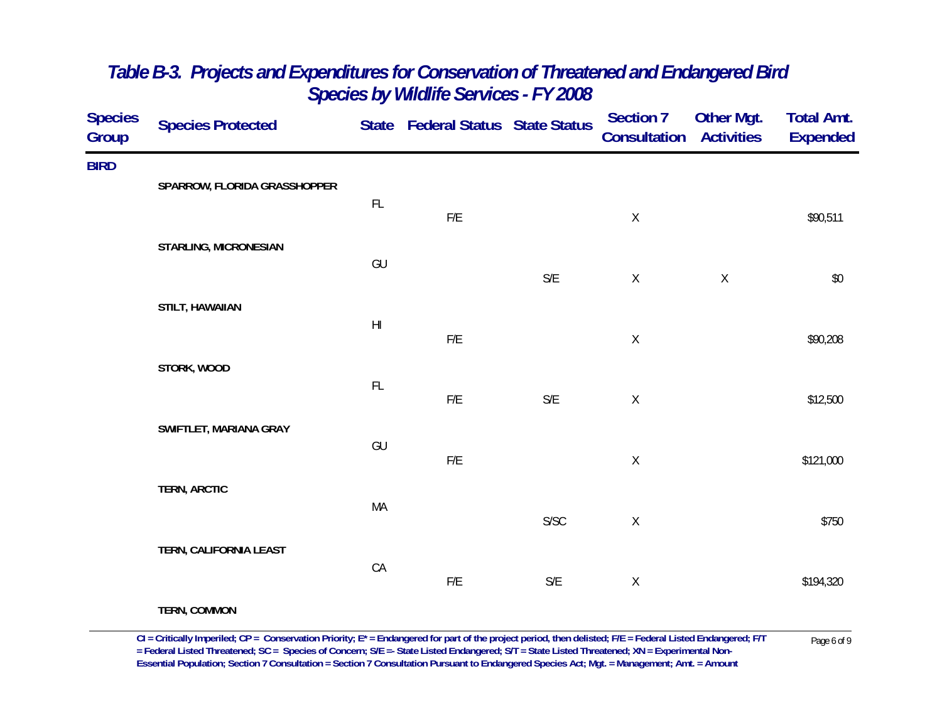| <b>Species</b><br>Group | <b>Species Protected</b>     |                        | State Federal Status State Status |                         | <b>Section 7</b><br>Consultation | <b>Other Mgt.</b><br><b>Activities</b> | <b>Total Amt.</b><br><b>Expended</b> |
|-------------------------|------------------------------|------------------------|-----------------------------------|-------------------------|----------------------------------|----------------------------------------|--------------------------------------|
| <b>BIRD</b>             | SPARROW, FLORIDA GRASSHOPPER | $\mathsf{FL}$          |                                   |                         |                                  |                                        |                                      |
|                         | STARLING, MICRONESIAN        |                        | ${\sf F/E}$                       |                         | $\mathsf X$                      |                                        | \$90,511                             |
|                         |                              | GU                     |                                   | $\mathsf{S}/\mathsf{E}$ | $\mathsf X$                      | $\mathsf X$                            | \$0                                  |
|                         | STILT, HAWAIIAN              | $\mathsf{H}\mathsf{I}$ | ${\sf F/E}$                       |                         | $\mathsf X$                      |                                        | \$90,208                             |
|                         | STORK, WOOD                  | $\mathsf{FL}$          |                                   |                         |                                  |                                        |                                      |
|                         | SWIFTLET, MARIANA GRAY       |                        | ${\sf F/E}$                       | $\mathsf{S}/\mathsf{E}$ | $\mathsf X$                      |                                        | \$12,500                             |
|                         |                              | GU                     | ${\sf F/E}$                       |                         | $\mathsf X$                      |                                        | \$121,000                            |
|                         | <b>TERN, ARCTIC</b>          | MA                     |                                   | S/SC                    | $\mathsf X$                      |                                        | \$750                                |
|                         | TERN, CALIFORNIA LEAST       | CA                     |                                   |                         |                                  |                                        |                                      |
|                         | TERN, COMMON                 |                        | ${\sf F/E}$                       | $\mathsf{S}/\mathsf{E}$ | $\mathsf X$                      |                                        | \$194,320                            |

 $CI = Critically$  Imperiled;  $CP = \text{Conservation Priority}; E^* = \text{Endangered for part of the project period, then deleted; F/E = Federal listed Endanged; F/T = \text{Pederal Listed Thread, F/T} = \text{Pageral Instead; FCE = \text{Spherical, FCE} = \text{Pageral Listed Thread, FCE = \text{Spherical, FCE} = \text{Pageral Listed Thread, FCE = \text{Spherical, FCE}} = \text{Pageral Listed Thread, FCE = \text{Spherical, FCE} = \text{Pageral Listed Thread, FCE = \text{Spherical, FCE} = \text{Pageral Listed Thread, FCE = \text{Spherical, FCE}} = \text{Pageral Listed Thread, FCE =$ **Essential Population; Section 7 Consultation = Section 7 Consultation Pursuant to Endangered Species Act; Mgt. = Management; Amt. = Amount**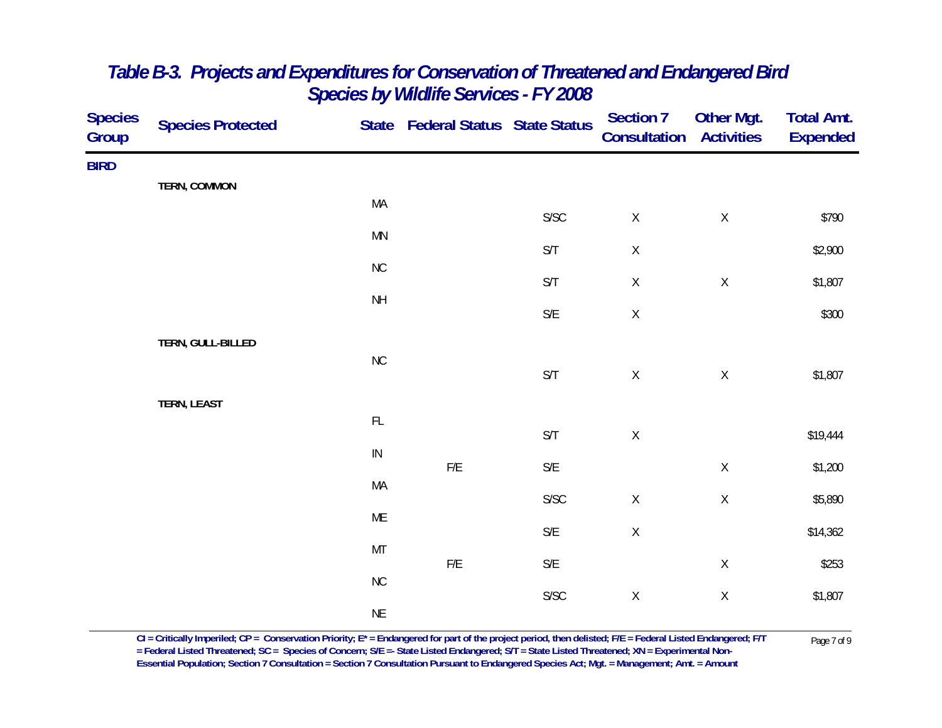| <b>Species</b><br>Group | <b>Species Protected</b> |                 | State Federal Status State Status |                         | <b>Section 7</b><br>Consultation | Other Mgt.<br><b>Activities</b> | <b>Total Amt.</b><br><b>Expended</b> |
|-------------------------|--------------------------|-----------------|-----------------------------------|-------------------------|----------------------------------|---------------------------------|--------------------------------------|
| <b>BIRD</b>             |                          |                 |                                   |                         |                                  |                                 |                                      |
|                         | <b>TERN, COMMON</b>      | MA              |                                   |                         |                                  |                                 |                                      |
|                         |                          | <b>MN</b>       |                                   | ${\sf S/SC}$            | $\mathsf X$                      | $\mathsf X$                     | \$790                                |
|                         |                          | ${\sf NC}$      |                                   | $\mathsf{S}/\mathsf{T}$ | $\mathsf X$                      |                                 | \$2,900                              |
|                         |                          |                 |                                   | $\mathsf{S}/\mathsf{T}$ | $\mathsf X$                      | $\mathsf X$                     | \$1,807                              |
|                         |                          | $\mathsf{NH}\,$ |                                   | $\mathsf{S}/\mathsf{E}$ | $\mathsf X$                      |                                 | \$300                                |
|                         | TERN, GULL-BILLED        |                 |                                   |                         |                                  |                                 |                                      |
|                         |                          | ${\sf NC}$      |                                   | $\mathsf{S}/\mathsf{T}$ | $\mathsf X$                      | $\mathsf X$                     | \$1,807                              |
|                         | TERN, LEAST              |                 |                                   |                         |                                  |                                 |                                      |
|                         |                          | $\mathsf{FL}$   |                                   | $\mathsf{S}/\mathsf{T}$ | $\mathsf X$                      |                                 | \$19,444                             |
|                         |                          | ${\sf IN}$      | $\mathsf{F}/\mathsf{E}$           | $\mathsf{S}/\mathsf{E}$ |                                  | $\mathsf X$                     | \$1,200                              |
|                         |                          | MA              |                                   | ${\sf S/SC}$            | $\mathsf X$                      | $\mathsf X$                     | \$5,890                              |
|                         |                          | ME              |                                   | $\mathsf{S}/\mathsf{E}$ | $\mathsf X$                      |                                 | \$14,362                             |
|                         |                          | MT              |                                   |                         |                                  |                                 |                                      |
|                         |                          | ${\sf NC}$      | $\mathsf{F}/\mathsf{E}$           | $\mathsf{S}/\mathsf{E}$ |                                  | $\mathsf X$                     | \$253                                |
|                         |                          | $\sf NE$        |                                   | ${\sf S/SC}$            | $\mathsf X$                      | $\mathsf X$                     | \$1,807                              |
|                         |                          |                 |                                   |                         |                                  |                                 |                                      |

 $CI = Critically$  Imperiled;  $CP = \text{Conservation Priority}; E^* = \text{Endangered for part of the project period, then deleted; F/E = Federal Listed Endanged; F/T = \text{Federal Listed Thread-Thread; F/T = \text{Pager} and \text{Borel} and \text{Cone}}$ <br>= Federal Listed Threatened;  $SC = \text{Species of Concern; } S/E = \text{State Listed Endangered; S/T = State Listed Thread-Thread; } XN = \text{Experimental Non-}$ **Essential Population; Section 7 Consultation = Section 7 Consultation Pursuant to Endangered Species Act; Mgt. = Management; Amt. = Amount**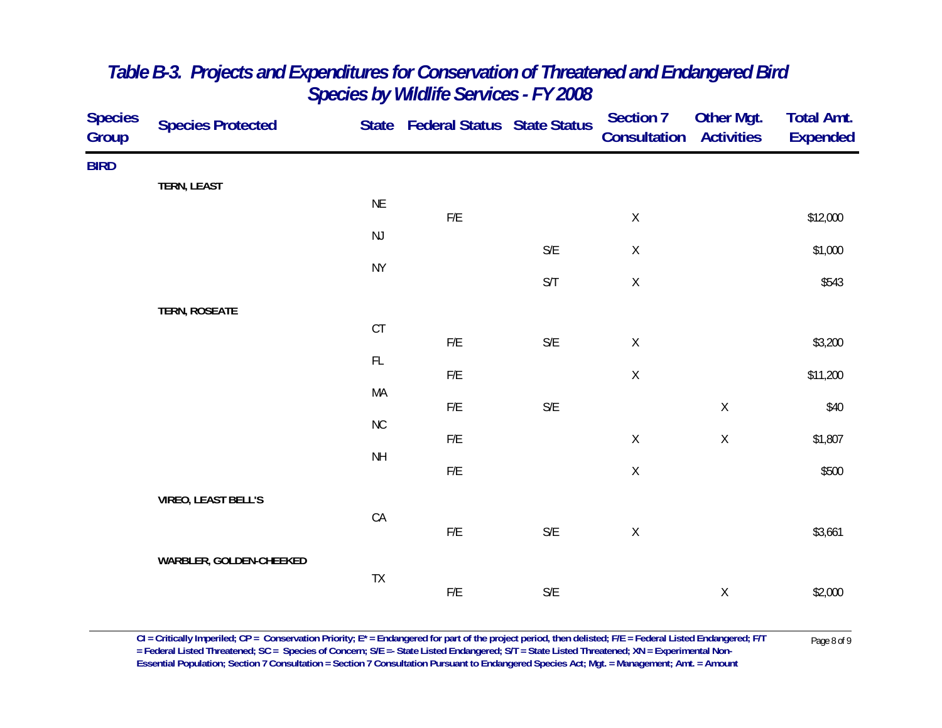| <b>Species</b><br>Group | <b>Species Protected</b>   |               | State Federal Status State Status |                         | Section 7<br>Consultation | <b>Other Mgt.</b><br><b>Activities</b> | <b>Total Amt.</b><br><b>Expended</b> |
|-------------------------|----------------------------|---------------|-----------------------------------|-------------------------|---------------------------|----------------------------------------|--------------------------------------|
| <b>BIRD</b>             |                            |               |                                   |                         |                           |                                        |                                      |
|                         | TERN, LEAST                |               |                                   |                         |                           |                                        |                                      |
|                         |                            | <b>NE</b>     | F/E                               |                         | $\mathsf X$               |                                        | \$12,000                             |
|                         |                            | $\mathsf{NJ}$ |                                   |                         |                           |                                        |                                      |
|                         |                            | <b>NY</b>     |                                   | $\mathsf{S}/\mathsf{E}$ | $\mathsf X$               |                                        | \$1,000                              |
|                         |                            |               |                                   | $\mathsf{S}/\mathsf{T}$ | $\mathsf X$               |                                        | \$543                                |
|                         | <b>TERN, ROSEATE</b>       |               |                                   |                         |                           |                                        |                                      |
|                         |                            | CT            |                                   |                         |                           |                                        |                                      |
|                         |                            | $\mathsf{FL}$ | F/E                               | $\mathsf{S}/\mathsf{E}$ | $\mathsf X$               |                                        | \$3,200                              |
|                         |                            |               | F/E                               |                         | $\mathsf X$               |                                        | \$11,200                             |
|                         |                            | MA            | F/E                               | $\mathsf{S}/\mathsf{E}$ |                           | $\mathsf X$                            | \$40                                 |
|                         |                            | ${\sf NC}$    |                                   |                         |                           |                                        |                                      |
|                         |                            |               | ${\sf F/E}$                       |                         | $\mathsf X$               | $\mathsf X$                            | \$1,807                              |
|                         |                            | <b>NH</b>     | F/E                               |                         | $\mathsf X$               |                                        | \$500                                |
|                         | <b>VIREO, LEAST BELL'S</b> |               |                                   |                         |                           |                                        |                                      |
|                         |                            | CA            |                                   |                         |                           |                                        |                                      |
|                         |                            |               | F/E                               | $\mathsf{S}/\mathsf{E}$ | $\mathsf X$               |                                        | \$3,661                              |
|                         | WARBLER, GOLDEN-CHEEKED    |               |                                   |                         |                           |                                        |                                      |
|                         |                            | ${\sf TX}$    | ${\sf F/E}$                       | $\mathsf{S}/\mathsf{E}$ |                           | $\mathsf X$                            | \$2,000                              |
|                         |                            |               |                                   |                         |                           |                                        |                                      |

CI = Critically Imperiled; CP = Conservation Priority; E\* = Endangered for part of the project period, then delisted; F/E = Federal Listed Endangered; F/T Page 8 of 9<br>= Federal Listed Threatened; SC = Species of Concern; **Essential Population; Section 7 Consultation = Section 7 Consultation Pursuant to Endangered Species Act; Mgt. = Management; Amt. = Amount**